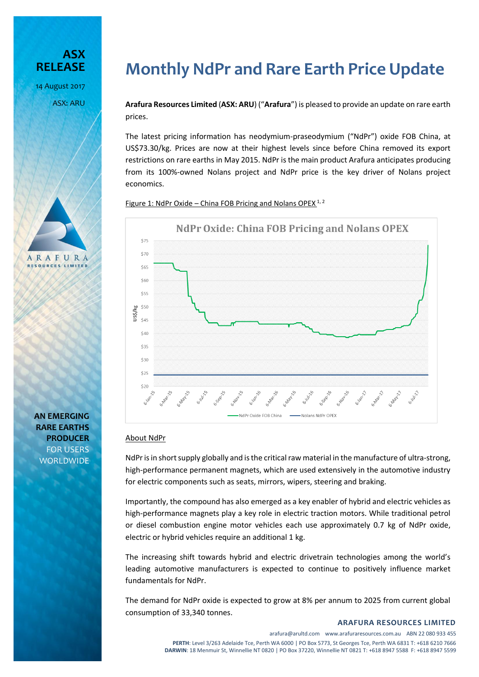



**AN EMERGING RARE EARTHS PRODUCER** FOR USERS **WORLDWIDE** 

# **Monthly NdPr and Rare Earth Price Update**

**Arafura Resources Limited** (**ASX: ARU**) ("**Arafura**") is pleased to provide an update on rare earth prices.

The latest pricing information has neodymium-praseodymium ("NdPr") oxide FOB China, at US\$73.30/kg. Prices are now at their highest levels since before China removed its export restrictions on rare earths in May 2015. NdPr is the main product Arafura anticipates producing from its 100%-owned Nolans project and NdPr price is the key driver of Nolans project economics.

Figure 1: NdPr Oxide – China FOB Pricing and Nolans OPEX  $1, 2$ 



# About NdPr

NdPr is in short supply globally and isthe critical raw material in the manufacture of ultra-strong, high-performance permanent magnets, which are used extensively in the automotive industry for electric components such as seats, mirrors, wipers, steering and braking.

Importantly, the compound has also emerged as a key enabler of hybrid and electric vehicles as high-performance magnets play a key role in electric traction motors. While traditional petrol or diesel combustion engine motor vehicles each use approximately 0.7 kg of NdPr oxide, electric or hybrid vehicles require an additional 1 kg.

The increasing shift towards hybrid and electric drivetrain technologies among the world's leading automotive manufacturers is expected to continue to positively influence market fundamentals for NdPr.

The demand for NdPr oxide is expected to grow at 8% per annum to 2025 from current global consumption of 33,340 tonnes.

#### **ARAFURA RESOURCES LIMITED**